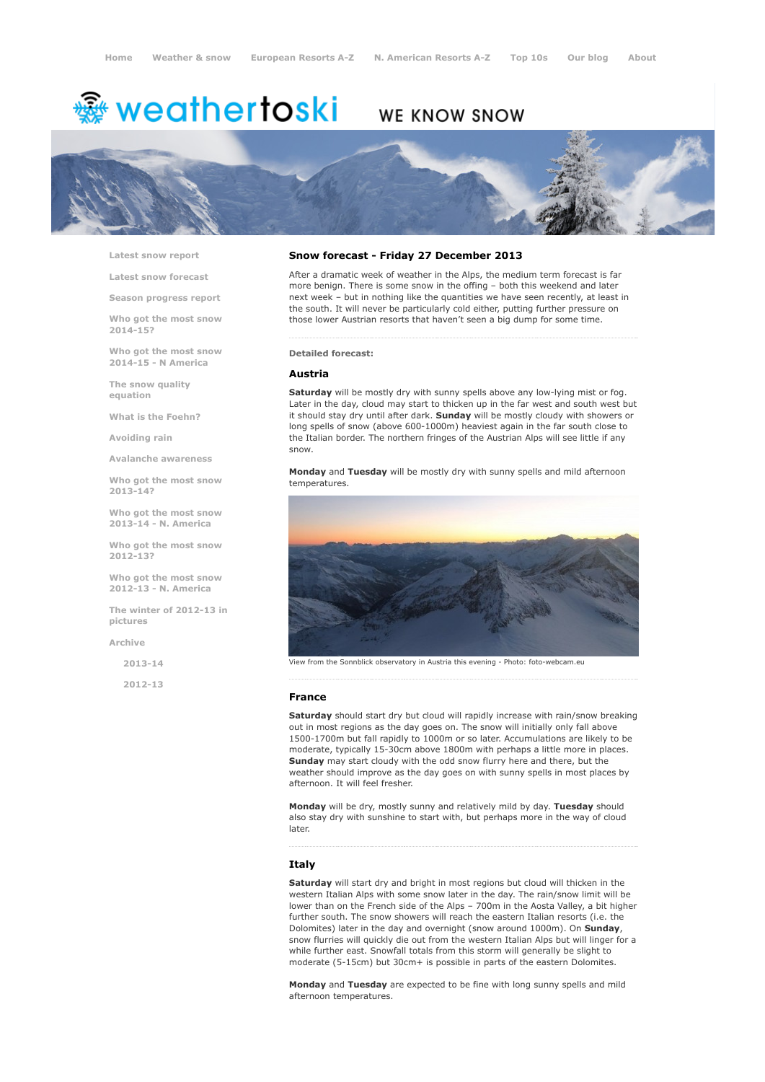# weathertoski <del>﴾</del>

# WE KNOW SNOW



Latest snow [report](http://www.weathertoski.co.uk/weather-snow/latest-snow-report/)

Latest snow [forecast](http://www.weathertoski.co.uk/weather-snow/latest-snow-forecast/)

Season [progress](http://www.weathertoski.co.uk/weather-snow/season-progress-report/) report

Who got the most snow 2014-15?

Who got the most snow 2014-15 - N America

The snow quality [equation](http://www.weathertoski.co.uk/weather-snow/the-snow-quality-equation/)

What is the [Foehn?](http://www.weathertoski.co.uk/weather-snow/what-is-the-foehn/)

[Avoiding](http://www.weathertoski.co.uk/weather-snow/avoiding-rain/) rain

Avalanche [awareness](http://www.weathertoski.co.uk/weather-snow/avalanche-awareness/)

Who got the most snow 2013-14?

Who got the most snow 2013-14 - N. America

Who got the most snow 2012-13?

Who got the most snow 2012-13 - N. America

The winter of 2012-13 in pictures

[Archive](http://www.weathertoski.co.uk/weather-snow/archive/)

2013-14

2012-13

## Snow forecast - Friday 27 December 2013

After a dramatic week of weather in the Alps, the medium term forecast is far more benign. There is some snow in the offing – both this weekend and later next week – but in nothing like the quantities we have seen recently, at least in the south. It will never be particularly cold either, putting further pressure on those lower Austrian resorts that haven't seen a big dump for some time.

Detailed forecast:

#### Austria

Saturday will be mostly dry with sunny spells above any low-lying mist or fog. Later in the day, cloud may start to thicken up in the far west and south west but it should stay dry until after dark. Sunday will be mostly cloudy with showers or long spells of snow (above 600-1000m) heaviest again in the far south close to the Italian border. The northern fringes of the Austrian Alps will see little if any snow.

Monday and Tuesday will be mostly dry with sunny spells and mild afternoon temperatures.



View from the Sonnblick observatory in Austria this evening - Photo: foto-webcam.eu

#### France

Saturday should start dry but cloud will rapidly increase with rain/snow breaking out in most regions as the day goes on. The snow will initially only fall above 1500-1700m but fall rapidly to 1000m or so later. Accumulations are likely to be moderate, typically 15-30cm above 1800m with perhaps a little more in places. Sunday may start cloudy with the odd snow flurry here and there, but the weather should improve as the day goes on with sunny spells in most places by afternoon. It will feel fresher.

Monday will be dry, mostly sunny and relatively mild by day. Tuesday should also stay dry with sunshine to start with, but perhaps more in the way of cloud later.

#### **Italy**

Saturday will start dry and bright in most regions but cloud will thicken in the western Italian Alps with some snow later in the day. The rain/snow limit will be lower than on the French side of the Alps – 700m in the Aosta Valley, a bit higher further south. The snow showers will reach the eastern Italian resorts (i.e. the Dolomites) later in the day and overnight (snow around 1000m). On **Sunday**, snow flurries will quickly die out from the western Italian Alps but will linger for a while further east. Snowfall totals from this storm will generally be slight to moderate (5-15cm) but 30cm+ is possible in parts of the eastern Dolomites.

Monday and Tuesday are expected to be fine with long sunny spells and mild afternoon temperatures.